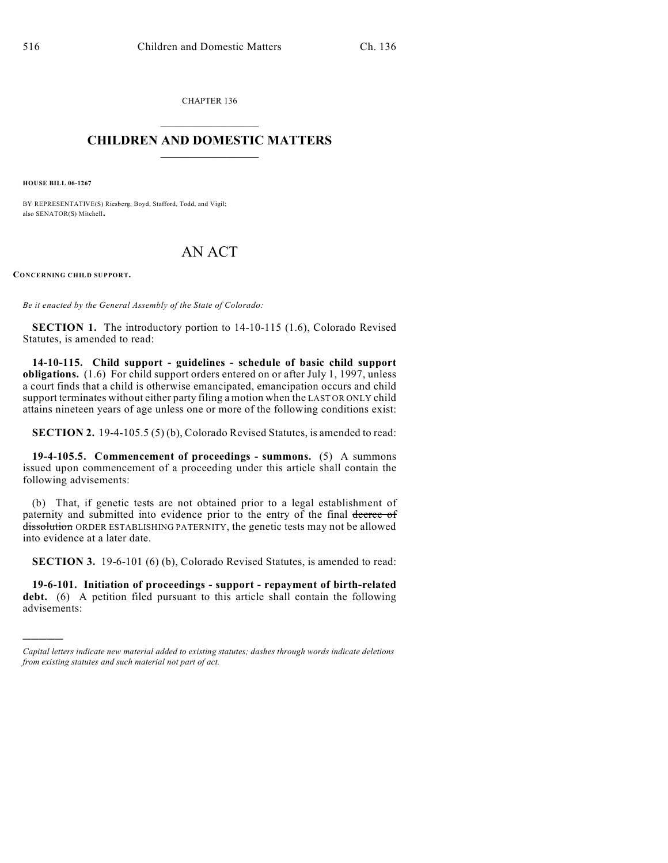CHAPTER 136  $\mathcal{L}_\text{max}$  . The set of the set of the set of the set of the set of the set of the set of the set of the set of the set of the set of the set of the set of the set of the set of the set of the set of the set of the set

## **CHILDREN AND DOMESTIC MATTERS**  $\_$

**HOUSE BILL 06-1267**

BY REPRESENTATIVE(S) Riesberg, Boyd, Stafford, Todd, and Vigil; also SENATOR(S) Mitchell.

## AN ACT

**CONCERNING CHILD SUPPORT.**

)))))

*Be it enacted by the General Assembly of the State of Colorado:*

**SECTION 1.** The introductory portion to 14-10-115 (1.6), Colorado Revised Statutes, is amended to read:

**14-10-115. Child support - guidelines - schedule of basic child support obligations.** (1.6) For child support orders entered on or after July 1, 1997, unless a court finds that a child is otherwise emancipated, emancipation occurs and child support terminates without either party filing a motion when the LAST OR ONLY child attains nineteen years of age unless one or more of the following conditions exist:

**SECTION 2.** 19-4-105.5 (5) (b), Colorado Revised Statutes, is amended to read:

**19-4-105.5. Commencement of proceedings - summons.** (5) A summons issued upon commencement of a proceeding under this article shall contain the following advisements:

(b) That, if genetic tests are not obtained prior to a legal establishment of paternity and submitted into evidence prior to the entry of the final decree of dissolution ORDER ESTABLISHING PATERNITY, the genetic tests may not be allowed into evidence at a later date.

**SECTION 3.** 19-6-101 (6) (b), Colorado Revised Statutes, is amended to read:

**19-6-101. Initiation of proceedings - support - repayment of birth-related debt.** (6) A petition filed pursuant to this article shall contain the following advisements:

*Capital letters indicate new material added to existing statutes; dashes through words indicate deletions from existing statutes and such material not part of act.*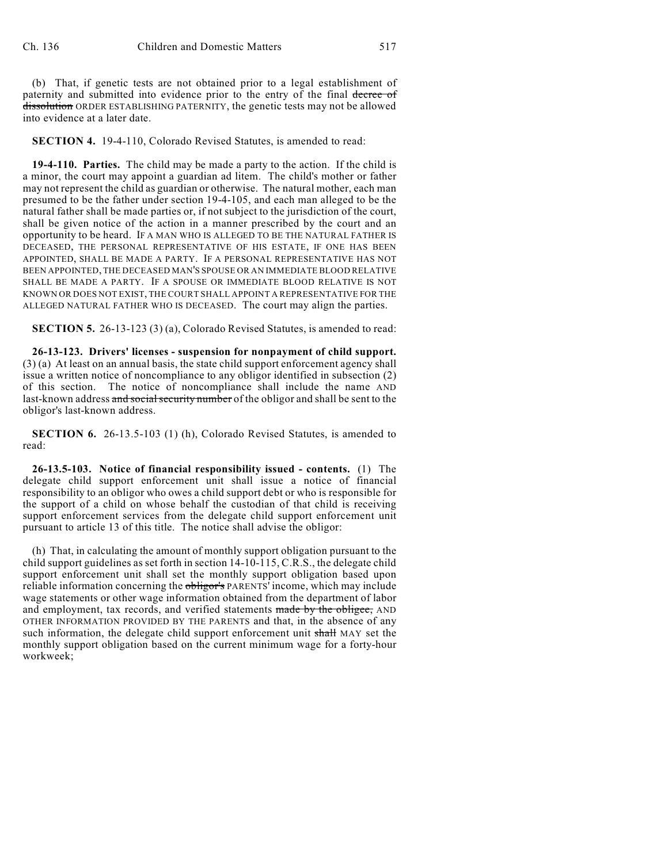(b) That, if genetic tests are not obtained prior to a legal establishment of paternity and submitted into evidence prior to the entry of the final decree of dissolution ORDER ESTABLISHING PATERNITY, the genetic tests may not be allowed into evidence at a later date.

**SECTION 4.** 19-4-110, Colorado Revised Statutes, is amended to read:

**19-4-110. Parties.** The child may be made a party to the action. If the child is a minor, the court may appoint a guardian ad litem. The child's mother or father may not represent the child as guardian or otherwise. The natural mother, each man presumed to be the father under section 19-4-105, and each man alleged to be the natural father shall be made parties or, if not subject to the jurisdiction of the court, shall be given notice of the action in a manner prescribed by the court and an opportunity to be heard. IF A MAN WHO IS ALLEGED TO BE THE NATURAL FATHER IS DECEASED, THE PERSONAL REPRESENTATIVE OF HIS ESTATE, IF ONE HAS BEEN APPOINTED, SHALL BE MADE A PARTY. IF A PERSONAL REPRESENTATIVE HAS NOT BEEN APPOINTED, THE DECEASED MAN'S SPOUSE OR AN IMMEDIATE BLOOD RELATIVE SHALL BE MADE A PARTY. IF A SPOUSE OR IMMEDIATE BLOOD RELATIVE IS NOT KNOWN OR DOES NOT EXIST, THE COURT SHALL APPOINT A REPRESENTATIVE FOR THE ALLEGED NATURAL FATHER WHO IS DECEASED. The court may align the parties.

**SECTION 5.** 26-13-123 (3) (a), Colorado Revised Statutes, is amended to read:

**26-13-123. Drivers' licenses - suspension for nonpayment of child support.** (3) (a) At least on an annual basis, the state child support enforcement agency shall issue a written notice of noncompliance to any obligor identified in subsection (2) of this section. The notice of noncompliance shall include the name AND last-known address and social security number of the obligor and shall be sent to the obligor's last-known address.

**SECTION 6.** 26-13.5-103 (1) (h), Colorado Revised Statutes, is amended to read:

**26-13.5-103. Notice of financial responsibility issued - contents.** (1) The delegate child support enforcement unit shall issue a notice of financial responsibility to an obligor who owes a child support debt or who is responsible for the support of a child on whose behalf the custodian of that child is receiving support enforcement services from the delegate child support enforcement unit pursuant to article 13 of this title. The notice shall advise the obligor:

(h) That, in calculating the amount of monthly support obligation pursuant to the child support guidelines as set forth in section 14-10-115, C.R.S., the delegate child support enforcement unit shall set the monthly support obligation based upon reliable information concerning the obligor's PARENTS' income, which may include wage statements or other wage information obtained from the department of labor and employment, tax records, and verified statements made by the obligee, AND OTHER INFORMATION PROVIDED BY THE PARENTS and that, in the absence of any such information, the delegate child support enforcement unit shall MAY set the monthly support obligation based on the current minimum wage for a forty-hour workweek;